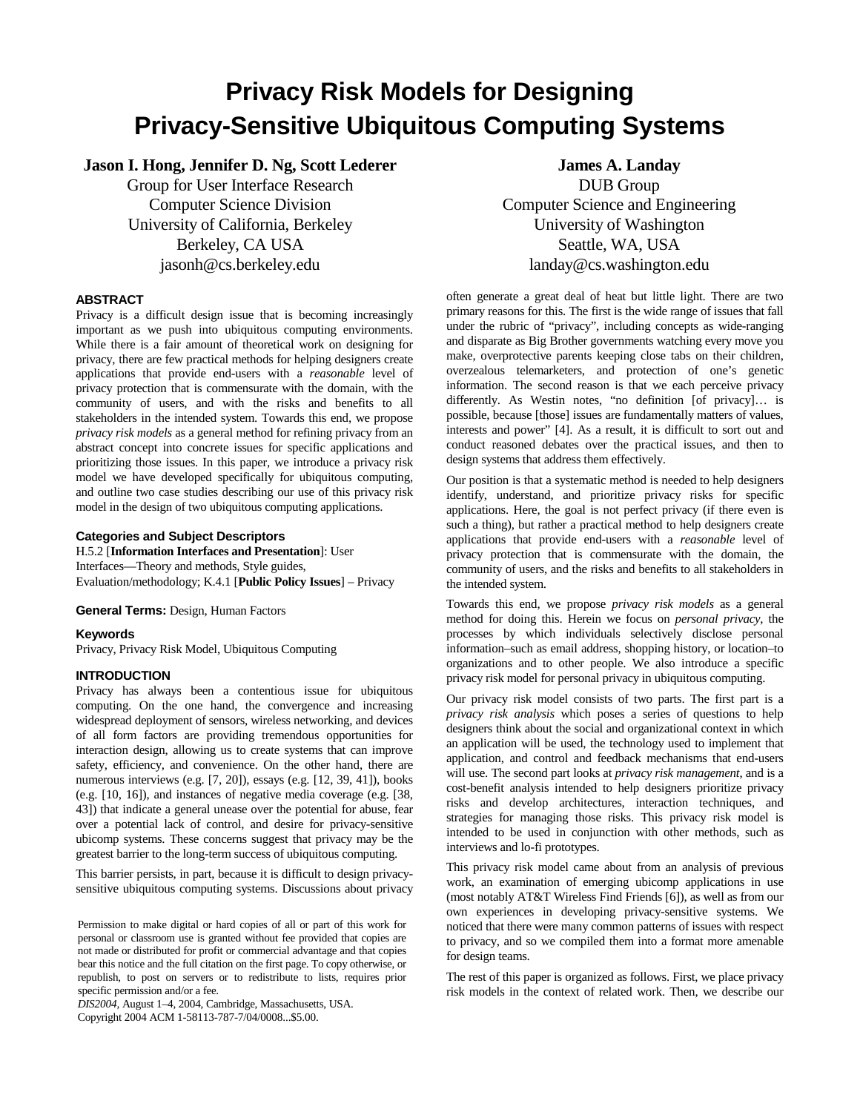# **Privacy Risk Models for Designing Privacy-Sensitive Ubiquitous Computing Systems**

# **Jason I. Hong, Jennifer D. Ng, Scott Lederer**

Group for User Interface Research Computer Science Division University of California, Berkeley Berkeley, CA USA jasonh@cs.berkeley.edu

#### **ABSTRACT**

Privacy is a difficult design issue that is becoming increasingly important as we push into ubiquitous computing environments. While there is a fair amount of theoretical work on designing for privacy, there are few practical methods for helping designers create applications that provide end-users with a *reasonable* level of privacy protection that is commensurate with the domain, with the community of users, and with the risks and benefits to all stakeholders in the intended system. Towards this end, we propose *privacy risk models* as a general method for refining privacy from an abstract concept into concrete issues for specific applications and prioritizing those issues. In this paper, we introduce a privacy risk model we have developed specifically for ubiquitous computing, and outline two case studies describing our use of this privacy risk model in the design of two ubiquitous computing applications.

# **Categories and Subject Descriptors**

H.5.2 [**Information Interfaces and Presentation**]: User Interfaces—Theory and methods, Style guides, Evaluation/methodology; K.4.1 [**Public Policy Issues**] – Privacy

**General Terms:** Design, Human Factors

**Keywords**

Privacy, Privacy Risk Model, Ubiquitous Computing

# **INTRODUCTION**

Privacy has always been a contentious issue for ubiquitous computing. On the one hand, the convergence and increasing widespread deployment of sensors, wireless networking, and devices of all form factors are providing tremendous opportunities for interaction design, allowing us to create systems that can improve safety, efficiency, and convenience. On the other hand, there are numerous interviews (e.g. [7, 20]), essays (e.g. [12, 39, 41]), books (e.g. [10, 16]), and instances of negative media coverage (e.g. [38, 43]) that indicate a general unease over the potential for abuse, fear over a potential lack of control, and desire for privacy-sensitive ubicomp systems. These concerns suggest that privacy may be the greatest barrier to the long-term success of ubiquitous computing.

This barrier persists, in part, because it is difficult to design privacysensitive ubiquitous computing systems. Discussions about privacy

*DIS2004,* August 1–4, 2004, Cambridge, Massachusetts, USA. Copyright 2004 ACM 1-58113-787-7/04/0008...\$5.00.

**James A. Landay** 

DUB Group Computer Science and Engineering University of Washington Seattle, WA, USA landay@cs.washington.edu

often generate a great deal of heat but little light. There are two primary reasons for this. The first is the wide range of issues that fall under the rubric of "privacy", including concepts as wide-ranging and disparate as Big Brother governments watching every move you make, overprotective parents keeping close tabs on their children, overzealous telemarketers, and protection of one's genetic information. The second reason is that we each perceive privacy differently. As Westin notes, "no definition [of privacy]… is possible, because [those] issues are fundamentally matters of values, interests and power" [4]. As a result, it is difficult to sort out and conduct reasoned debates over the practical issues, and then to design systems that address them effectively.

Our position is that a systematic method is needed to help designers identify, understand, and prioritize privacy risks for specific applications. Here, the goal is not perfect privacy (if there even is such a thing), but rather a practical method to help designers create applications that provide end-users with a *reasonable* level of privacy protection that is commensurate with the domain, the community of users, and the risks and benefits to all stakeholders in the intended system.

Towards this end, we propose *privacy risk models* as a general method for doing this. Herein we focus on *personal privacy*, the processes by which individuals selectively disclose personal information–such as email address, shopping history, or location–to organizations and to other people. We also introduce a specific privacy risk model for personal privacy in ubiquitous computing.

Our privacy risk model consists of two parts. The first part is a *privacy risk analysis* which poses a series of questions to help designers think about the social and organizational context in which an application will be used, the technology used to implement that application, and control and feedback mechanisms that end-users will use. The second part looks at *privacy risk management*, and is a cost-benefit analysis intended to help designers prioritize privacy risks and develop architectures, interaction techniques, and strategies for managing those risks. This privacy risk model is intended to be used in conjunction with other methods, such as interviews and lo-fi prototypes.

This privacy risk model came about from an analysis of previous work, an examination of emerging ubicomp applications in use (most notably AT&T Wireless Find Friends [6]), as well as from our own experiences in developing privacy-sensitive systems. We noticed that there were many common patterns of issues with respect to privacy, and so we compiled them into a format more amenable for design teams.

The rest of this paper is organized as follows. First, we place privacy risk models in the context of related work. Then, we describe our

Permission to make digital or hard copies of all or part of this work for personal or classroom use is granted without fee provided that copies are not made or distributed for profit or commercial advantage and that copies bear this notice and the full citation on the first page. To copy otherwise, or republish, to post on servers or to redistribute to lists, requires prior specific permission and/or a fee.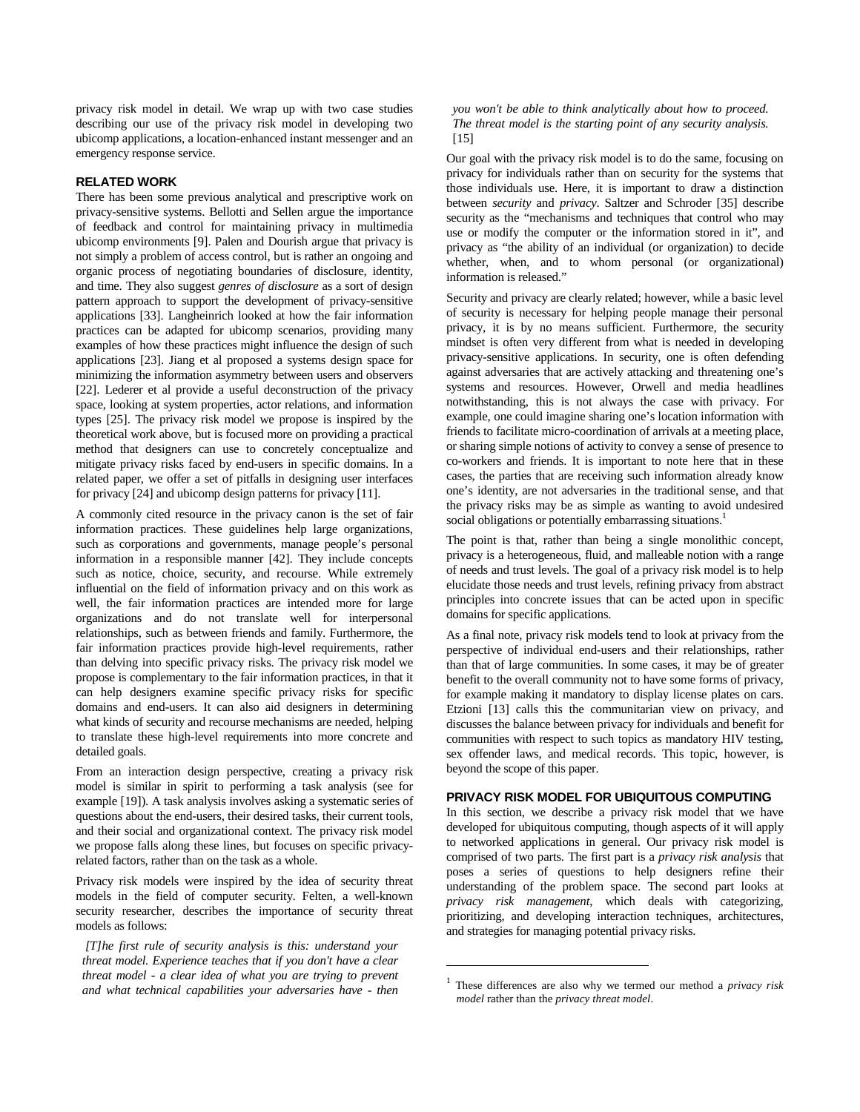privacy risk model in detail. We wrap up with two case studies describing our use of the privacy risk model in developing two ubicomp applications, a location-enhanced instant messenger and an emergency response service.

# **RELATED WORK**

There has been some previous analytical and prescriptive work on privacy-sensitive systems. Bellotti and Sellen argue the importance of feedback and control for maintaining privacy in multimedia ubicomp environments [9]. Palen and Dourish argue that privacy is not simply a problem of access control, but is rather an ongoing and organic process of negotiating boundaries of disclosure, identity, and time. They also suggest *genres of disclosure* as a sort of design pattern approach to support the development of privacy-sensitive applications [33]. Langheinrich looked at how the fair information practices can be adapted for ubicomp scenarios, providing many examples of how these practices might influence the design of such applications [23]. Jiang et al proposed a systems design space for minimizing the information asymmetry between users and observers [22]. Lederer et al provide a useful deconstruction of the privacy space, looking at system properties, actor relations, and information types [25]. The privacy risk model we propose is inspired by the theoretical work above, but is focused more on providing a practical method that designers can use to concretely conceptualize and mitigate privacy risks faced by end-users in specific domains. In a related paper, we offer a set of pitfalls in designing user interfaces for privacy [24] and ubicomp design patterns for privacy [11].

A commonly cited resource in the privacy canon is the set of fair information practices. These guidelines help large organizations, such as corporations and governments, manage people's personal information in a responsible manner [42]. They include concepts such as notice, choice, security, and recourse. While extremely influential on the field of information privacy and on this work as well, the fair information practices are intended more for large organizations and do not translate well for interpersonal relationships, such as between friends and family. Furthermore, the fair information practices provide high-level requirements, rather than delving into specific privacy risks. The privacy risk model we propose is complementary to the fair information practices, in that it can help designers examine specific privacy risks for specific domains and end-users. It can also aid designers in determining what kinds of security and recourse mechanisms are needed, helping to translate these high-level requirements into more concrete and detailed goals.

From an interaction design perspective, creating a privacy risk model is similar in spirit to performing a task analysis (see for example [19]). A task analysis involves asking a systematic series of questions about the end-users, their desired tasks, their current tools, and their social and organizational context. The privacy risk model we propose falls along these lines, but focuses on specific privacyrelated factors, rather than on the task as a whole.

Privacy risk models were inspired by the idea of security threat models in the field of computer security. Felten, a well-known security researcher, describes the importance of security threat models as follows:

 *[T]he first rule of security analysis is this: understand your threat model. Experience teaches that if you don't have a clear threat model - a clear idea of what you are trying to prevent and what technical capabilities your adversaries have - then*  *you won't be able to think analytically about how to proceed. The threat model is the starting point of any security analysis.*  [15]

Our goal with the privacy risk model is to do the same, focusing on privacy for individuals rather than on security for the systems that those individuals use. Here, it is important to draw a distinction between *security* and *privacy*. Saltzer and Schroder [35] describe security as the "mechanisms and techniques that control who may use or modify the computer or the information stored in it", and privacy as "the ability of an individual (or organization) to decide whether, when, and to whom personal (or organizational) information is released."

Security and privacy are clearly related; however, while a basic level of security is necessary for helping people manage their personal privacy, it is by no means sufficient. Furthermore, the security mindset is often very different from what is needed in developing privacy-sensitive applications. In security, one is often defending against adversaries that are actively attacking and threatening one's systems and resources. However, Orwell and media headlines notwithstanding, this is not always the case with privacy. For example, one could imagine sharing one's location information with friends to facilitate micro-coordination of arrivals at a meeting place, or sharing simple notions of activity to convey a sense of presence to co-workers and friends. It is important to note here that in these cases, the parties that are receiving such information already know one's identity, are not adversaries in the traditional sense, and that the privacy risks may be as simple as wanting to avoid undesired social obligations or potentially embarrassing situations.<sup>1</sup>

The point is that, rather than being a single monolithic concept, privacy is a heterogeneous, fluid, and malleable notion with a range of needs and trust levels. The goal of a privacy risk model is to help elucidate those needs and trust levels, refining privacy from abstract principles into concrete issues that can be acted upon in specific domains for specific applications.

As a final note, privacy risk models tend to look at privacy from the perspective of individual end-users and their relationships, rather than that of large communities. In some cases, it may be of greater benefit to the overall community not to have some forms of privacy, for example making it mandatory to display license plates on cars. Etzioni [13] calls this the communitarian view on privacy, and discusses the balance between privacy for individuals and benefit for communities with respect to such topics as mandatory HIV testing, sex offender laws, and medical records. This topic, however, is beyond the scope of this paper.

# **PRIVACY RISK MODEL FOR UBIQUITOUS COMPUTING**

In this section, we describe a privacy risk model that we have developed for ubiquitous computing, though aspects of it will apply to networked applications in general. Our privacy risk model is comprised of two parts. The first part is a *privacy risk analysis* that poses a series of questions to help designers refine their understanding of the problem space. The second part looks at *privacy risk management*, which deals with categorizing, prioritizing, and developing interaction techniques, architectures, and strategies for managing potential privacy risks.

1

<sup>1</sup> These differences are also why we termed our method a *privacy risk model* rather than the *privacy threat model*.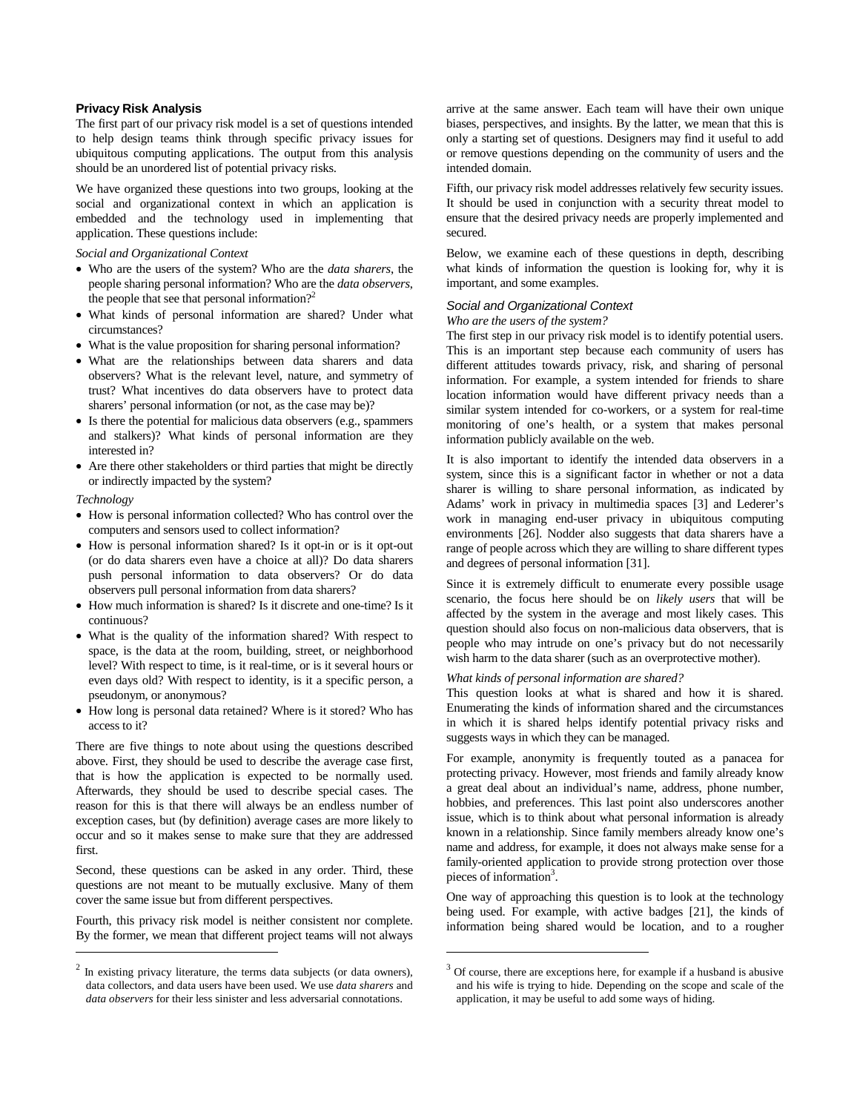# **Privacy Risk Analysis**

The first part of our privacy risk model is a set of questions intended to help design teams think through specific privacy issues for ubiquitous computing applications. The output from this analysis should be an unordered list of potential privacy risks.

We have organized these questions into two groups, looking at the social and organizational context in which an application is embedded and the technology used in implementing that application. These questions include:

# *Social and Organizational Context*

- Who are the users of the system? Who are the *data sharers*, the people sharing personal information? Who are the *data observers*, the people that see that personal information?<sup>2</sup>
- What kinds of personal information are shared? Under what circumstances?
- What is the value proposition for sharing personal information?
- What are the relationships between data sharers and data observers? What is the relevant level, nature, and symmetry of trust? What incentives do data observers have to protect data sharers' personal information (or not, as the case may be)?
- Is there the potential for malicious data observers (e.g., spammers and stalkers)? What kinds of personal information are they interested in?
- Are there other stakeholders or third parties that might be directly or indirectly impacted by the system?

#### *Technology*

j

- How is personal information collected? Who has control over the computers and sensors used to collect information?
- How is personal information shared? Is it opt-in or is it opt-out (or do data sharers even have a choice at all)? Do data sharers push personal information to data observers? Or do data observers pull personal information from data sharers?
- How much information is shared? Is it discrete and one-time? Is it continuous?
- What is the quality of the information shared? With respect to space, is the data at the room, building, street, or neighborhood level? With respect to time, is it real-time, or is it several hours or even days old? With respect to identity, is it a specific person, a pseudonym, or anonymous?
- How long is personal data retained? Where is it stored? Who has access to it?

There are five things to note about using the questions described above. First, they should be used to describe the average case first, that is how the application is expected to be normally used. Afterwards, they should be used to describe special cases. The reason for this is that there will always be an endless number of exception cases, but (by definition) average cases are more likely to occur and so it makes sense to make sure that they are addressed first.

Second, these questions can be asked in any order. Third, these questions are not meant to be mutually exclusive. Many of them cover the same issue but from different perspectives.

Fourth, this privacy risk model is neither consistent nor complete. By the former, we mean that different project teams will not always

arrive at the same answer. Each team will have their own unique biases, perspectives, and insights. By the latter, we mean that this is only a starting set of questions. Designers may find it useful to add or remove questions depending on the community of users and the intended domain.

Fifth, our privacy risk model addresses relatively few security issues. It should be used in conjunction with a security threat model to ensure that the desired privacy needs are properly implemented and secured.

Below, we examine each of these questions in depth, describing what kinds of information the question is looking for, why it is important, and some examples.

# *Social and Organizational Context*

#### *Who are the users of the system?*

The first step in our privacy risk model is to identify potential users. This is an important step because each community of users has different attitudes towards privacy, risk, and sharing of personal information. For example, a system intended for friends to share location information would have different privacy needs than a similar system intended for co-workers, or a system for real-time monitoring of one's health, or a system that makes personal information publicly available on the web.

It is also important to identify the intended data observers in a system, since this is a significant factor in whether or not a data sharer is willing to share personal information, as indicated by Adams' work in privacy in multimedia spaces [3] and Lederer's work in managing end-user privacy in ubiquitous computing environments [26]. Nodder also suggests that data sharers have a range of people across which they are willing to share different types and degrees of personal information [31].

Since it is extremely difficult to enumerate every possible usage scenario, the focus here should be on *likely users* that will be affected by the system in the average and most likely cases. This question should also focus on non-malicious data observers, that is people who may intrude on one's privacy but do not necessarily wish harm to the data sharer (such as an overprotective mother).

# *What kinds of personal information are shared?*

1

This question looks at what is shared and how it is shared. Enumerating the kinds of information shared and the circumstances in which it is shared helps identify potential privacy risks and suggests ways in which they can be managed.

For example, anonymity is frequently touted as a panacea for protecting privacy. However, most friends and family already know a great deal about an individual's name, address, phone number, hobbies, and preferences. This last point also underscores another issue, which is to think about what personal information is already known in a relationship. Since family members already know one's name and address, for example, it does not always make sense for a family-oriented application to provide strong protection over those pieces of information<sup>3</sup>.

One way of approaching this question is to look at the technology being used. For example, with active badges [21], the kinds of information being shared would be location, and to a rougher

 $2$  In existing privacy literature, the terms data subjects (or data owners), data collectors, and data users have been used. We use *data sharers* and *data observers* for their less sinister and less adversarial connotations.

 $3$  Of course, there are exceptions here, for example if a husband is abusive and his wife is trying to hide. Depending on the scope and scale of the application, it may be useful to add some ways of hiding.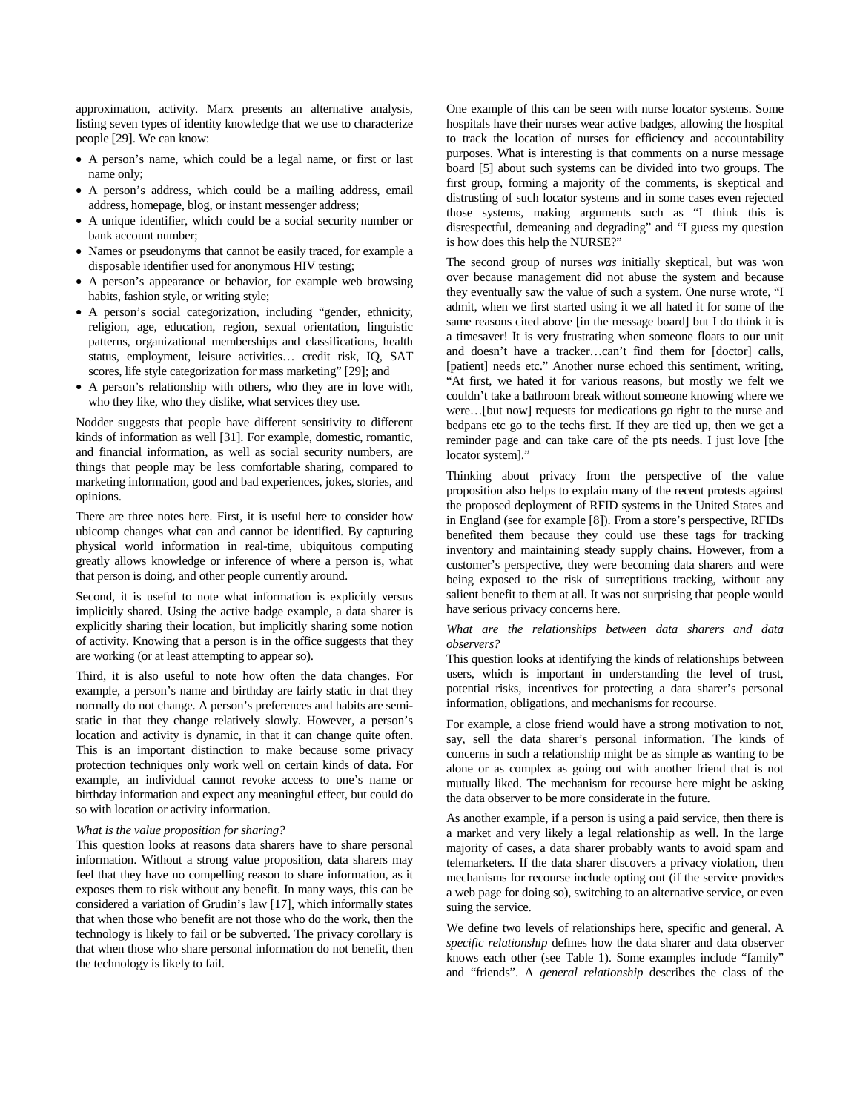approximation, activity. Marx presents an alternative analysis, listing seven types of identity knowledge that we use to characterize people [29]. We can know:

- A person's name, which could be a legal name, or first or last name only;
- A person's address, which could be a mailing address, email address, homepage, blog, or instant messenger address;
- A unique identifier, which could be a social security number or bank account number;
- Names or pseudonyms that cannot be easily traced, for example a disposable identifier used for anonymous HIV testing;
- A person's appearance or behavior, for example web browsing habits, fashion style, or writing style;
- A person's social categorization, including "gender, ethnicity, religion, age, education, region, sexual orientation, linguistic patterns, organizational memberships and classifications, health status, employment, leisure activities… credit risk, IQ, SAT scores, life style categorization for mass marketing" [29]; and
- A person's relationship with others, who they are in love with, who they like, who they dislike, what services they use.

Nodder suggests that people have different sensitivity to different kinds of information as well [31]. For example, domestic, romantic, and financial information, as well as social security numbers, are things that people may be less comfortable sharing, compared to marketing information, good and bad experiences, jokes, stories, and opinions.

There are three notes here. First, it is useful here to consider how ubicomp changes what can and cannot be identified. By capturing physical world information in real-time, ubiquitous computing greatly allows knowledge or inference of where a person is, what that person is doing, and other people currently around.

Second, it is useful to note what information is explicitly versus implicitly shared. Using the active badge example, a data sharer is explicitly sharing their location, but implicitly sharing some notion of activity. Knowing that a person is in the office suggests that they are working (or at least attempting to appear so).

Third, it is also useful to note how often the data changes. For example, a person's name and birthday are fairly static in that they normally do not change. A person's preferences and habits are semistatic in that they change relatively slowly. However, a person's location and activity is dynamic, in that it can change quite often. This is an important distinction to make because some privacy protection techniques only work well on certain kinds of data. For example, an individual cannot revoke access to one's name or birthday information and expect any meaningful effect, but could do so with location or activity information.

#### *What is the value proposition for sharing?*

This question looks at reasons data sharers have to share personal information. Without a strong value proposition, data sharers may feel that they have no compelling reason to share information, as it exposes them to risk without any benefit. In many ways, this can be considered a variation of Grudin's law [17], which informally states that when those who benefit are not those who do the work, then the technology is likely to fail or be subverted. The privacy corollary is that when those who share personal information do not benefit, then the technology is likely to fail.

One example of this can be seen with nurse locator systems. Some hospitals have their nurses wear active badges, allowing the hospital to track the location of nurses for efficiency and accountability purposes. What is interesting is that comments on a nurse message board [5] about such systems can be divided into two groups. The first group, forming a majority of the comments, is skeptical and distrusting of such locator systems and in some cases even rejected those systems, making arguments such as "I think this is disrespectful, demeaning and degrading" and "I guess my question is how does this help the NURSE?"

The second group of nurses *was* initially skeptical, but was won over because management did not abuse the system and because they eventually saw the value of such a system. One nurse wrote, "I admit, when we first started using it we all hated it for some of the same reasons cited above [in the message board] but I do think it is a timesaver! It is very frustrating when someone floats to our unit and doesn't have a tracker…can't find them for [doctor] calls, [patient] needs etc." Another nurse echoed this sentiment, writing, "At first, we hated it for various reasons, but mostly we felt we couldn't take a bathroom break without someone knowing where we were…[but now] requests for medications go right to the nurse and bedpans etc go to the techs first. If they are tied up, then we get a reminder page and can take care of the pts needs. I just love [the locator system]."

Thinking about privacy from the perspective of the value proposition also helps to explain many of the recent protests against the proposed deployment of RFID systems in the United States and in England (see for example [8]). From a store's perspective, RFIDs benefited them because they could use these tags for tracking inventory and maintaining steady supply chains. However, from a customer's perspective, they were becoming data sharers and were being exposed to the risk of surreptitious tracking, without any salient benefit to them at all. It was not surprising that people would have serious privacy concerns here.

#### *What are the relationships between data sharers and data observers?*

This question looks at identifying the kinds of relationships between users, which is important in understanding the level of trust, potential risks, incentives for protecting a data sharer's personal information, obligations, and mechanisms for recourse.

For example, a close friend would have a strong motivation to not, say, sell the data sharer's personal information. The kinds of concerns in such a relationship might be as simple as wanting to be alone or as complex as going out with another friend that is not mutually liked. The mechanism for recourse here might be asking the data observer to be more considerate in the future.

As another example, if a person is using a paid service, then there is a market and very likely a legal relationship as well. In the large majority of cases, a data sharer probably wants to avoid spam and telemarketers. If the data sharer discovers a privacy violation, then mechanisms for recourse include opting out (if the service provides a web page for doing so), switching to an alternative service, or even suing the service.

We define two levels of relationships here, specific and general. A *specific relationship* defines how the data sharer and data observer knows each other (see Table 1). Some examples include "family" and "friends". A *general relationship* describes the class of the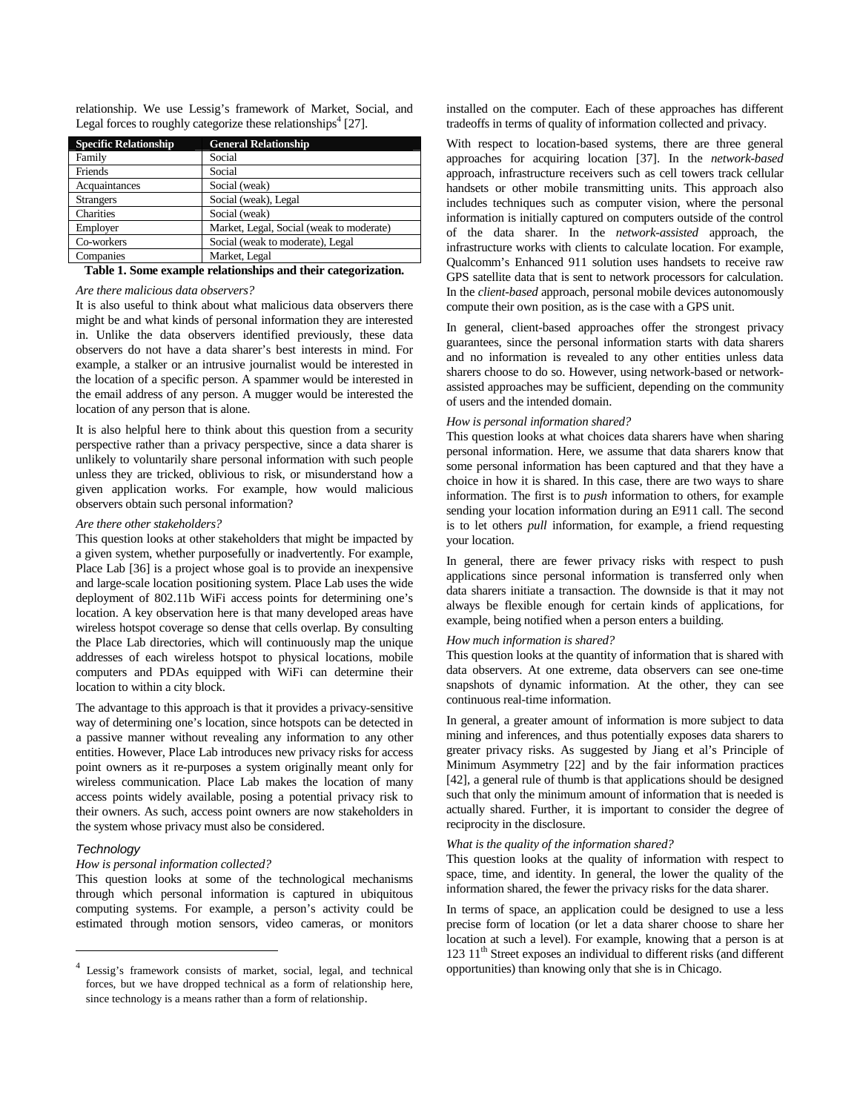relationship. We use Lessig's framework of Market, Social, and Legal forces to roughly categorize these relationships<sup>4</sup> [27].

| <b>Specific Relationship</b> | <b>General Relationship</b>              |
|------------------------------|------------------------------------------|
| Family                       | Social                                   |
| Friends                      | Social                                   |
| Acquaintances                | Social (weak)                            |
| <b>Strangers</b>             | Social (weak), Legal                     |
| Charities                    | Social (weak)                            |
| Employer                     | Market, Legal, Social (weak to moderate) |
| Co-workers                   | Social (weak to moderate), Legal         |
| Companies                    | Market, Legal                            |

# **Table 1. Some example relationships and their categorization.**

#### *Are there malicious data observers?*

It is also useful to think about what malicious data observers there might be and what kinds of personal information they are interested in. Unlike the data observers identified previously, these data observers do not have a data sharer's best interests in mind. For example, a stalker or an intrusive journalist would be interested in the location of a specific person. A spammer would be interested in the email address of any person. A mugger would be interested the location of any person that is alone.

It is also helpful here to think about this question from a security perspective rather than a privacy perspective, since a data sharer is unlikely to voluntarily share personal information with such people unless they are tricked, oblivious to risk, or misunderstand how a given application works. For example, how would malicious observers obtain such personal information?

#### *Are there other stakeholders?*

This question looks at other stakeholders that might be impacted by a given system, whether purposefully or inadvertently. For example, Place Lab [36] is a project whose goal is to provide an inexpensive and large-scale location positioning system. Place Lab uses the wide deployment of 802.11b WiFi access points for determining one's location. A key observation here is that many developed areas have wireless hotspot coverage so dense that cells overlap. By consulting the Place Lab directories, which will continuously map the unique addresses of each wireless hotspot to physical locations, mobile computers and PDAs equipped with WiFi can determine their location to within a city block.

The advantage to this approach is that it provides a privacy-sensitive way of determining one's location, since hotspots can be detected in a passive manner without revealing any information to any other entities. However, Place Lab introduces new privacy risks for access point owners as it re-purposes a system originally meant only for wireless communication. Place Lab makes the location of many access points widely available, posing a potential privacy risk to their owners. As such, access point owners are now stakeholders in the system whose privacy must also be considered.

# *Technology*

j

#### *How is personal information collected?*

This question looks at some of the technological mechanisms through which personal information is captured in ubiquitous computing systems. For example, a person's activity could be estimated through motion sensors, video cameras, or monitors

installed on the computer. Each of these approaches has different tradeoffs in terms of quality of information collected and privacy.

With respect to location-based systems, there are three general approaches for acquiring location [37]. In the *network-based*  approach, infrastructure receivers such as cell towers track cellular handsets or other mobile transmitting units. This approach also includes techniques such as computer vision, where the personal information is initially captured on computers outside of the control of the data sharer. In the *network-assisted* approach, the infrastructure works with clients to calculate location. For example, Qualcomm's Enhanced 911 solution uses handsets to receive raw GPS satellite data that is sent to network processors for calculation. In the *client-based* approach, personal mobile devices autonomously compute their own position, as is the case with a GPS unit.

In general, client-based approaches offer the strongest privacy guarantees, since the personal information starts with data sharers and no information is revealed to any other entities unless data sharers choose to do so. However, using network-based or networkassisted approaches may be sufficient, depending on the community of users and the intended domain.

#### *How is personal information shared?*

This question looks at what choices data sharers have when sharing personal information. Here, we assume that data sharers know that some personal information has been captured and that they have a choice in how it is shared. In this case, there are two ways to share information. The first is to *push* information to others, for example sending your location information during an E911 call. The second is to let others *pull* information, for example, a friend requesting your location.

In general, there are fewer privacy risks with respect to push applications since personal information is transferred only when data sharers initiate a transaction. The downside is that it may not always be flexible enough for certain kinds of applications, for example, being notified when a person enters a building.

# *How much information is shared?*

This question looks at the quantity of information that is shared with data observers. At one extreme, data observers can see one-time snapshots of dynamic information. At the other, they can see continuous real-time information.

In general, a greater amount of information is more subject to data mining and inferences, and thus potentially exposes data sharers to greater privacy risks. As suggested by Jiang et al's Principle of Minimum Asymmetry [22] and by the fair information practices [42], a general rule of thumb is that applications should be designed such that only the minimum amount of information that is needed is actually shared. Further, it is important to consider the degree of reciprocity in the disclosure.

#### *What is the quality of the information shared?*

This question looks at the quality of information with respect to space, time, and identity. In general, the lower the quality of the information shared, the fewer the privacy risks for the data sharer.

In terms of space, an application could be designed to use a less precise form of location (or let a data sharer choose to share her location at such a level). For example, knowing that a person is at  $123$   $11<sup>th</sup>$  Street exposes an individual to different risks (and different opportunities) than knowing only that she is in Chicago.

<sup>4</sup> Lessig's framework consists of market, social, legal, and technical forces, but we have dropped technical as a form of relationship here, since technology is a means rather than a form of relationship.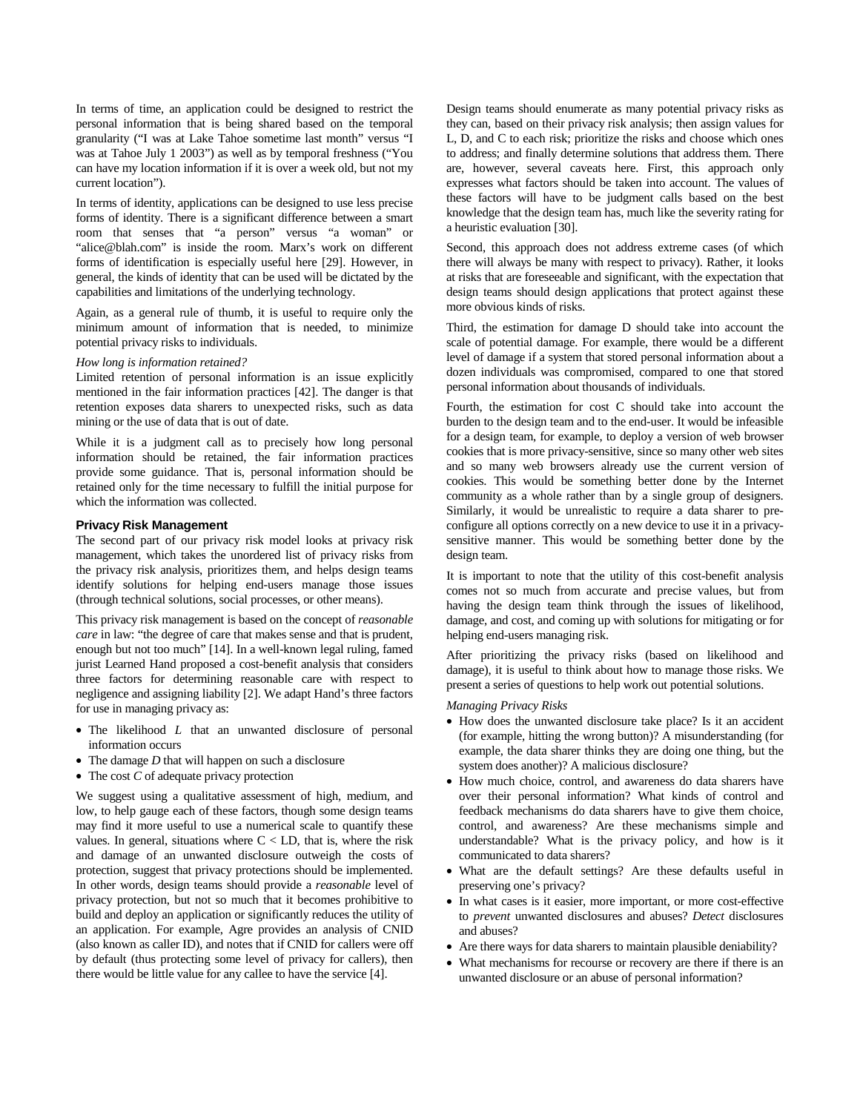In terms of time, an application could be designed to restrict the personal information that is being shared based on the temporal granularity ("I was at Lake Tahoe sometime last month" versus "I was at Tahoe July 1 2003") as well as by temporal freshness ("You can have my location information if it is over a week old, but not my current location").

In terms of identity, applications can be designed to use less precise forms of identity. There is a significant difference between a smart room that senses that "a person" versus "a woman" or "alice@blah.com" is inside the room. Marx's work on different forms of identification is especially useful here [29]. However, in general, the kinds of identity that can be used will be dictated by the capabilities and limitations of the underlying technology.

Again, as a general rule of thumb, it is useful to require only the minimum amount of information that is needed, to minimize potential privacy risks to individuals.

#### *How long is information retained?*

Limited retention of personal information is an issue explicitly mentioned in the fair information practices [42]. The danger is that retention exposes data sharers to unexpected risks, such as data mining or the use of data that is out of date.

While it is a judgment call as to precisely how long personal information should be retained, the fair information practices provide some guidance. That is, personal information should be retained only for the time necessary to fulfill the initial purpose for which the information was collected.

# **Privacy Risk Management**

The second part of our privacy risk model looks at privacy risk management, which takes the unordered list of privacy risks from the privacy risk analysis, prioritizes them, and helps design teams identify solutions for helping end-users manage those issues (through technical solutions, social processes, or other means).

This privacy risk management is based on the concept of *reasonable care* in law: "the degree of care that makes sense and that is prudent, enough but not too much" [14]. In a well-known legal ruling, famed jurist Learned Hand proposed a cost-benefit analysis that considers three factors for determining reasonable care with respect to negligence and assigning liability [2]. We adapt Hand's three factors for use in managing privacy as:

- The likelihood *L* that an unwanted disclosure of personal information occurs
- The damage *D* that will happen on such a disclosure
- The cost *C* of adequate privacy protection

We suggest using a qualitative assessment of high, medium, and low, to help gauge each of these factors, though some design teams may find it more useful to use a numerical scale to quantify these values. In general, situations where  $C <$  LD, that is, where the risk and damage of an unwanted disclosure outweigh the costs of protection, suggest that privacy protections should be implemented. In other words, design teams should provide a *reasonable* level of privacy protection, but not so much that it becomes prohibitive to build and deploy an application or significantly reduces the utility of an application. For example, Agre provides an analysis of CNID (also known as caller ID), and notes that if CNID for callers were off by default (thus protecting some level of privacy for callers), then there would be little value for any callee to have the service [4].

Design teams should enumerate as many potential privacy risks as they can, based on their privacy risk analysis; then assign values for L, D, and C to each risk; prioritize the risks and choose which ones to address; and finally determine solutions that address them. There are, however, several caveats here. First, this approach only expresses what factors should be taken into account. The values of these factors will have to be judgment calls based on the best knowledge that the design team has, much like the severity rating for a heuristic evaluation [30].

Second, this approach does not address extreme cases (of which there will always be many with respect to privacy). Rather, it looks at risks that are foreseeable and significant, with the expectation that design teams should design applications that protect against these more obvious kinds of risks.

Third, the estimation for damage D should take into account the scale of potential damage. For example, there would be a different level of damage if a system that stored personal information about a dozen individuals was compromised, compared to one that stored personal information about thousands of individuals.

Fourth, the estimation for cost C should take into account the burden to the design team and to the end-user. It would be infeasible for a design team, for example, to deploy a version of web browser cookies that is more privacy-sensitive, since so many other web sites and so many web browsers already use the current version of cookies. This would be something better done by the Internet community as a whole rather than by a single group of designers. Similarly, it would be unrealistic to require a data sharer to preconfigure all options correctly on a new device to use it in a privacysensitive manner. This would be something better done by the design team.

It is important to note that the utility of this cost-benefit analysis comes not so much from accurate and precise values, but from having the design team think through the issues of likelihood, damage, and cost, and coming up with solutions for mitigating or for helping end-users managing risk.

After prioritizing the privacy risks (based on likelihood and damage), it is useful to think about how to manage those risks. We present a series of questions to help work out potential solutions.

*Managing Privacy Risks* 

- How does the unwanted disclosure take place? Is it an accident (for example, hitting the wrong button)? A misunderstanding (for example, the data sharer thinks they are doing one thing, but the system does another)? A malicious disclosure?
- How much choice, control, and awareness do data sharers have over their personal information? What kinds of control and feedback mechanisms do data sharers have to give them choice, control, and awareness? Are these mechanisms simple and understandable? What is the privacy policy, and how is it communicated to data sharers?
- What are the default settings? Are these defaults useful in preserving one's privacy?
- In what cases is it easier, more important, or more cost-effective to *prevent* unwanted disclosures and abuses? *Detect* disclosures and abuses?
- Are there ways for data sharers to maintain plausible deniability?
- What mechanisms for recourse or recovery are there if there is an unwanted disclosure or an abuse of personal information?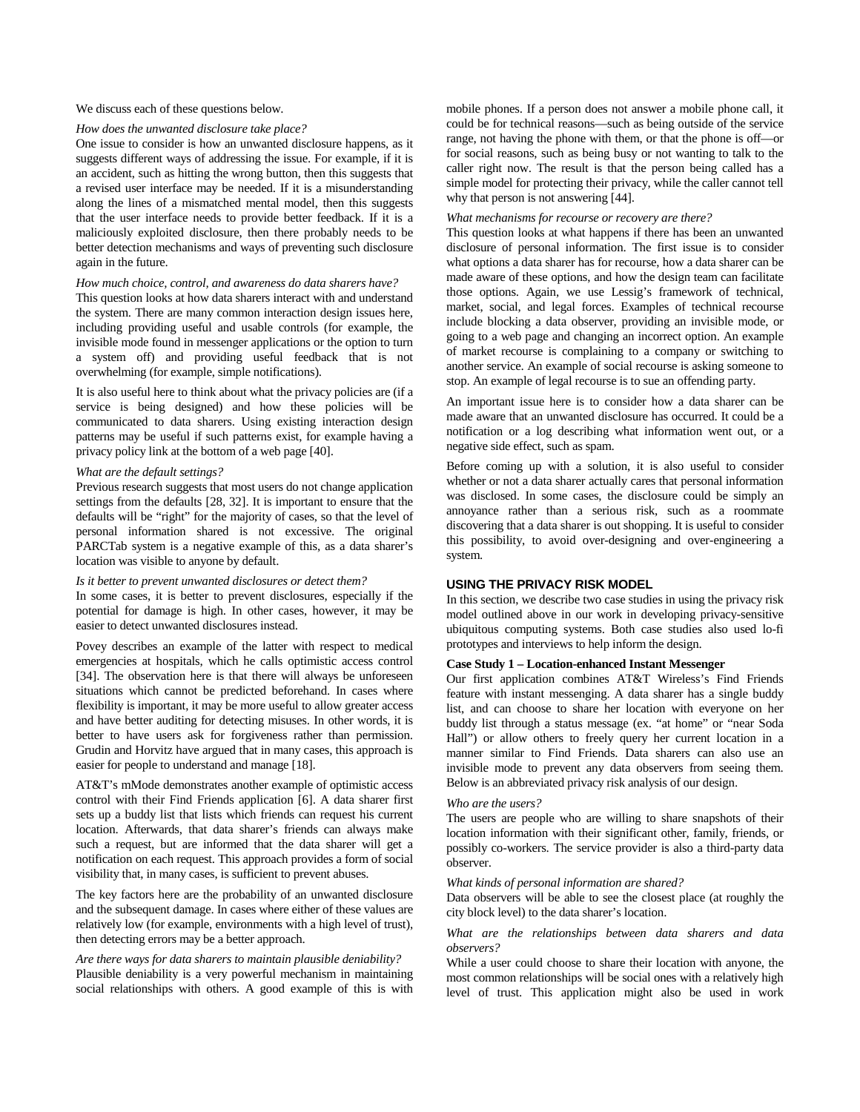#### We discuss each of these questions below.

#### *How does the unwanted disclosure take place?*

One issue to consider is how an unwanted disclosure happens, as it suggests different ways of addressing the issue. For example, if it is an accident, such as hitting the wrong button, then this suggests that a revised user interface may be needed. If it is a misunderstanding along the lines of a mismatched mental model, then this suggests that the user interface needs to provide better feedback. If it is a maliciously exploited disclosure, then there probably needs to be better detection mechanisms and ways of preventing such disclosure again in the future.

#### *How much choice, control, and awareness do data sharers have?*

This question looks at how data sharers interact with and understand the system. There are many common interaction design issues here, including providing useful and usable controls (for example, the invisible mode found in messenger applications or the option to turn a system off) and providing useful feedback that is not overwhelming (for example, simple notifications).

It is also useful here to think about what the privacy policies are (if a service is being designed) and how these policies will be communicated to data sharers. Using existing interaction design patterns may be useful if such patterns exist, for example having a privacy policy link at the bottom of a web page [40].

# *What are the default settings?*

Previous research suggests that most users do not change application settings from the defaults [28, 32]. It is important to ensure that the defaults will be "right" for the majority of cases, so that the level of personal information shared is not excessive. The original PARCTab system is a negative example of this, as a data sharer's location was visible to anyone by default.

#### *Is it better to prevent unwanted disclosures or detect them?*

In some cases, it is better to prevent disclosures, especially if the potential for damage is high. In other cases, however, it may be easier to detect unwanted disclosures instead.

Povey describes an example of the latter with respect to medical emergencies at hospitals, which he calls optimistic access control [34]. The observation here is that there will always be unforeseen situations which cannot be predicted beforehand. In cases where flexibility is important, it may be more useful to allow greater access and have better auditing for detecting misuses. In other words, it is better to have users ask for forgiveness rather than permission. Grudin and Horvitz have argued that in many cases, this approach is easier for people to understand and manage [18].

AT&T's mMode demonstrates another example of optimistic access control with their Find Friends application [6]. A data sharer first sets up a buddy list that lists which friends can request his current location. Afterwards, that data sharer's friends can always make such a request, but are informed that the data sharer will get a notification on each request. This approach provides a form of social visibility that, in many cases, is sufficient to prevent abuses.

The key factors here are the probability of an unwanted disclosure and the subsequent damage. In cases where either of these values are relatively low (for example, environments with a high level of trust), then detecting errors may be a better approach.

*Are there ways for data sharers to maintain plausible deniability?*  Plausible deniability is a very powerful mechanism in maintaining social relationships with others. A good example of this is with mobile phones. If a person does not answer a mobile phone call, it could be for technical reasons—such as being outside of the service range, not having the phone with them, or that the phone is off—or for social reasons, such as being busy or not wanting to talk to the caller right now. The result is that the person being called has a simple model for protecting their privacy, while the caller cannot tell why that person is not answering [44].

#### *What mechanisms for recourse or recovery are there?*

This question looks at what happens if there has been an unwanted disclosure of personal information. The first issue is to consider what options a data sharer has for recourse, how a data sharer can be made aware of these options, and how the design team can facilitate those options. Again, we use Lessig's framework of technical, market, social, and legal forces. Examples of technical recourse include blocking a data observer, providing an invisible mode, or going to a web page and changing an incorrect option. An example of market recourse is complaining to a company or switching to another service. An example of social recourse is asking someone to stop. An example of legal recourse is to sue an offending party.

An important issue here is to consider how a data sharer can be made aware that an unwanted disclosure has occurred. It could be a notification or a log describing what information went out, or a negative side effect, such as spam.

Before coming up with a solution, it is also useful to consider whether or not a data sharer actually cares that personal information was disclosed. In some cases, the disclosure could be simply an annoyance rather than a serious risk, such as a roommate discovering that a data sharer is out shopping. It is useful to consider this possibility, to avoid over-designing and over-engineering a system.

#### **USING THE PRIVACY RISK MODEL**

In this section, we describe two case studies in using the privacy risk model outlined above in our work in developing privacy-sensitive ubiquitous computing systems. Both case studies also used lo-fi prototypes and interviews to help inform the design.

## **Case Study 1 – Location-enhanced Instant Messenger**

Our first application combines AT&T Wireless's Find Friends feature with instant messenging. A data sharer has a single buddy list, and can choose to share her location with everyone on her buddy list through a status message (ex. "at home" or "near Soda Hall") or allow others to freely query her current location in a manner similar to Find Friends. Data sharers can also use an invisible mode to prevent any data observers from seeing them. Below is an abbreviated privacy risk analysis of our design.

#### *Who are the users?*

The users are people who are willing to share snapshots of their location information with their significant other, family, friends, or possibly co-workers. The service provider is also a third-party data observer.

#### *What kinds of personal information are shared?*

Data observers will be able to see the closest place (at roughly the city block level) to the data sharer's location.

# *What are the relationships between data sharers and data observers?*

While a user could choose to share their location with anyone, the most common relationships will be social ones with a relatively high level of trust. This application might also be used in work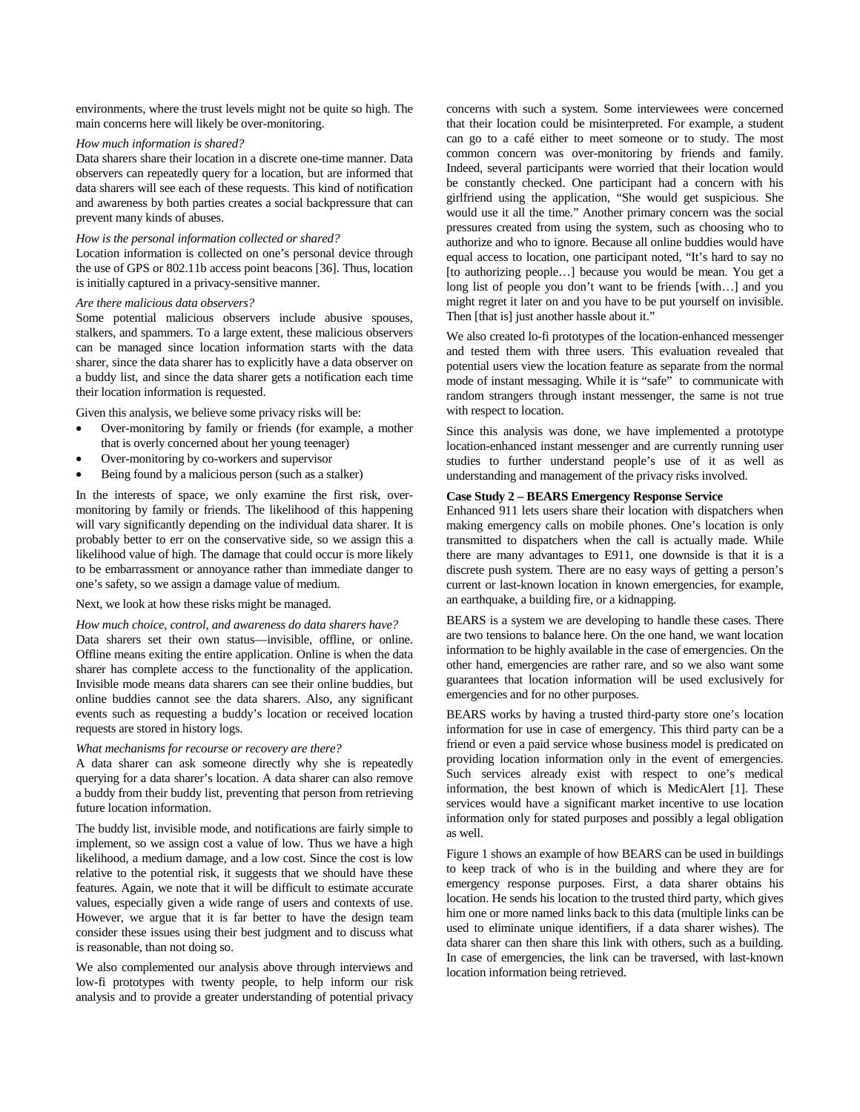environments, where the trust levels might not be quite so high. The main concerns here will likely be over-monitoring.

#### *How much information is shared?*

Data sharers share their location in a discrete one-time manner. Data observers can repeatedly query for a location, but are informed that data sharers will see each of these requests. This kind of notification and awareness by both parties creates a social backpressure that can prevent many kinds of abuses.

# *How is the personal information collected or shared?*

Location information is collected on one's personal device through the use of GPS or 802.11b access point beacons [36]. Thus, location is initially captured in a privacy-sensitive manner.

#### *Are there malicious data observers?*

Some potential malicious observers include abusive spouses, stalkers, and spammers. To a large extent, these malicious observers can be managed since location information starts with the data sharer, since the data sharer has to explicitly have a data observer on a buddy list, and since the data sharer gets a notification each time their location information is requested.

Given this analysis, we believe some privacy risks will be:

- Over-monitoring by family or friends (for example, a mother that is overly concerned about her young teenager)
- Over-monitoring by co-workers and supervisor
- Being found by a malicious person (such as a stalker)

In the interests of space, we only examine the first risk, overmonitoring by family or friends. The likelihood of this happening will vary significantly depending on the individual data sharer. It is probably better to err on the conservative side, so we assign this a likelihood value of high. The damage that could occur is more likely to be embarrassment or annoyance rather than immediate danger to one's safety, so we assign a damage value of medium.

# Next, we look at how these risks might be managed.

*How much choice, control, and awareness do data sharers have?*  Data sharers set their own status—invisible, offline, or online. Offline means exiting the entire application. Online is when the data sharer has complete access to the functionality of the application. Invisible mode means data sharers can see their online buddies, but online buddies cannot see the data sharers. Also, any significant events such as requesting a buddy's location or received location requests are stored in history logs.

#### *What mechanisms for recourse or recovery are there?*

A data sharer can ask someone directly why she is repeatedly querying for a data sharer's location. A data sharer can also remove a buddy from their buddy list, preventing that person from retrieving future location information.

The buddy list, invisible mode, and notifications are fairly simple to implement, so we assign cost a value of low. Thus we have a high likelihood, a medium damage, and a low cost. Since the cost is low relative to the potential risk, it suggests that we should have these features. Again, we note that it will be difficult to estimate accurate values, especially given a wide range of users and contexts of use. However, we argue that it is far better to have the design team consider these issues using their best judgment and to discuss what is reasonable, than not doing so.

We also complemented our analysis above through interviews and low-fi prototypes with twenty people, to help inform our risk analysis and to provide a greater understanding of potential privacy

concerns with such a system. Some interviewees were concerned that their location could be misinterpreted. For example, a student can go to a café either to meet someone or to study. The most common concern was over-monitoring by friends and family. Indeed, several participants were worried that their location would be constantly checked. One participant had a concern with his girlfriend using the application, "She would get suspicious. She would use it all the time." Another primary concern was the social pressures created from using the system, such as choosing who to authorize and who to ignore. Because all online buddies would have equal access to location, one participant noted, "It's hard to say no [to authorizing people...] because you would be mean. You get a long list of people you don't want to be friends [with…] and you might regret it later on and you have to be put yourself on invisible. Then [that is] just another hassle about it."

We also created lo-fi prototypes of the location-enhanced messenger and tested them with three users. This evaluation revealed that potential users view the location feature as separate from the normal mode of instant messaging. While it is "safe" to communicate with random strangers through instant messenger, the same is not true with respect to location.

Since this analysis was done, we have implemented a prototype location-enhanced instant messenger and are currently running user studies to further understand people's use of it as well as understanding and management of the privacy risks involved.

# **Case Study 2 – BEARS Emergency Response Service**

Enhanced 911 lets users share their location with dispatchers when making emergency calls on mobile phones. One's location is only transmitted to dispatchers when the call is actually made. While there are many advantages to E911, one downside is that it is a discrete push system. There are no easy ways of getting a person's current or last-known location in known emergencies, for example, an earthquake, a building fire, or a kidnapping.

BEARS is a system we are developing to handle these cases. There are two tensions to balance here. On the one hand, we want location information to be highly available in the case of emergencies. On the other hand, emergencies are rather rare, and so we also want some guarantees that location information will be used exclusively for emergencies and for no other purposes.

BEARS works by having a trusted third-party store one's location information for use in case of emergency. This third party can be a friend or even a paid service whose business model is predicated on providing location information only in the event of emergencies. Such services already exist with respect to one's medical information, the best known of which is MedicAlert [1]. These services would have a significant market incentive to use location information only for stated purposes and possibly a legal obligation as well.

Figure 1 shows an example of how BEARS can be used in buildings to keep track of who is in the building and where they are for emergency response purposes. First, a data sharer obtains his location. He sends his location to the trusted third party, which gives him one or more named links back to this data (multiple links can be used to eliminate unique identifiers, if a data sharer wishes). The data sharer can then share this link with others, such as a building. In case of emergencies, the link can be traversed, with last-known location information being retrieved.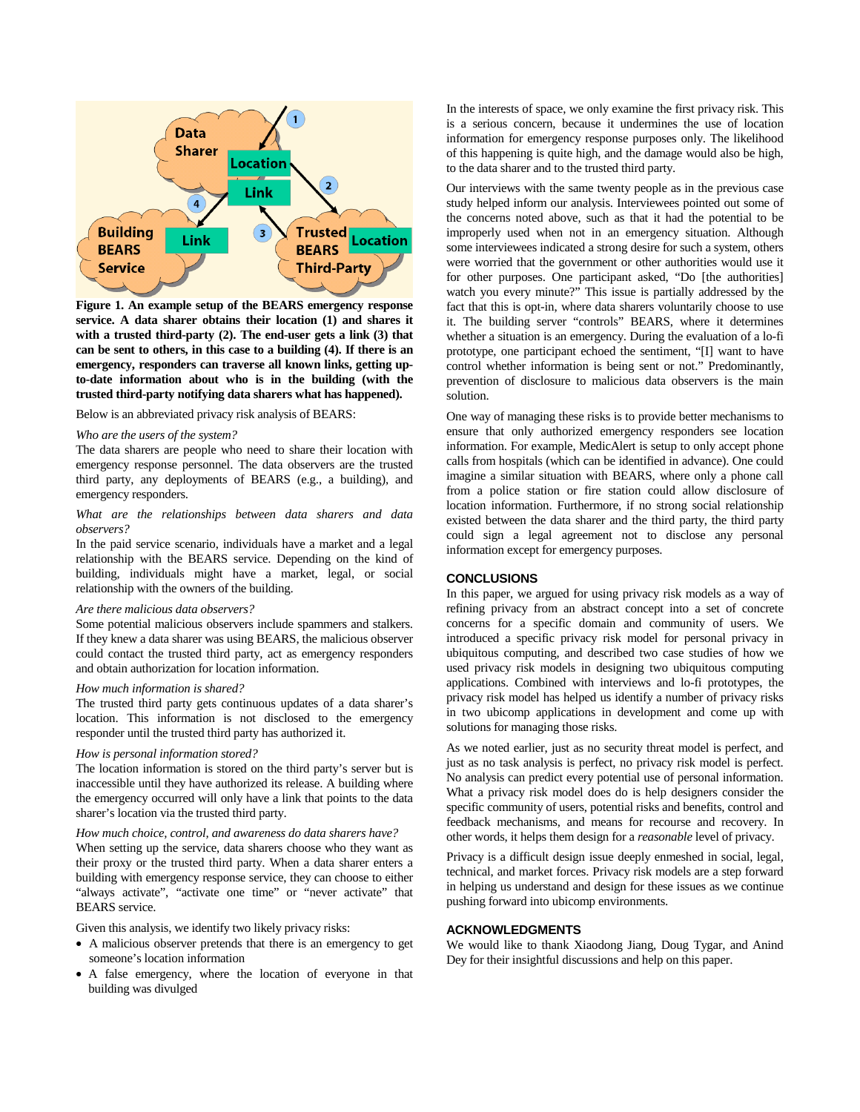

**Figure 1. An example setup of the BEARS emergency response service. A data sharer obtains their location (1) and shares it with a trusted third-party (2). The end-user gets a link (3) that can be sent to others, in this case to a building (4). If there is an emergency, responders can traverse all known links, getting upto-date information about who is in the building (with the trusted third-party notifying data sharers what has happened).** 

Below is an abbreviated privacy risk analysis of BEARS:

# *Who are the users of the system?*

The data sharers are people who need to share their location with emergency response personnel. The data observers are the trusted third party, any deployments of BEARS (e.g., a building), and emergency responders.

#### *What are the relationships between data sharers and data observers?*

In the paid service scenario, individuals have a market and a legal relationship with the BEARS service. Depending on the kind of building, individuals might have a market, legal, or social relationship with the owners of the building.

#### *Are there malicious data observers?*

Some potential malicious observers include spammers and stalkers. If they knew a data sharer was using BEARS, the malicious observer could contact the trusted third party, act as emergency responders and obtain authorization for location information.

#### *How much information is shared?*

The trusted third party gets continuous updates of a data sharer's location. This information is not disclosed to the emergency responder until the trusted third party has authorized it.

#### *How is personal information stored?*

The location information is stored on the third party's server but is inaccessible until they have authorized its release. A building where the emergency occurred will only have a link that points to the data sharer's location via the trusted third party.

# *How much choice, control, and awareness do data sharers have?*

When setting up the service, data sharers choose who they want as their proxy or the trusted third party. When a data sharer enters a building with emergency response service, they can choose to either "always activate", "activate one time" or "never activate" that BEARS service.

Given this analysis, we identify two likely privacy risks:

- A malicious observer pretends that there is an emergency to get someone's location information
- A false emergency, where the location of everyone in that building was divulged

In the interests of space, we only examine the first privacy risk. This is a serious concern, because it undermines the use of location information for emergency response purposes only. The likelihood of this happening is quite high, and the damage would also be high, to the data sharer and to the trusted third party.

Our interviews with the same twenty people as in the previous case study helped inform our analysis. Interviewees pointed out some of the concerns noted above, such as that it had the potential to be improperly used when not in an emergency situation. Although some interviewees indicated a strong desire for such a system, others were worried that the government or other authorities would use it for other purposes. One participant asked, "Do [the authorities] watch you every minute?" This issue is partially addressed by the fact that this is opt-in, where data sharers voluntarily choose to use it. The building server "controls" BEARS, where it determines whether a situation is an emergency. During the evaluation of a lo-fi prototype, one participant echoed the sentiment, "[I] want to have control whether information is being sent or not." Predominantly, prevention of disclosure to malicious data observers is the main solution.

One way of managing these risks is to provide better mechanisms to ensure that only authorized emergency responders see location information. For example, MedicAlert is setup to only accept phone calls from hospitals (which can be identified in advance). One could imagine a similar situation with BEARS, where only a phone call from a police station or fire station could allow disclosure of location information. Furthermore, if no strong social relationship existed between the data sharer and the third party, the third party could sign a legal agreement not to disclose any personal information except for emergency purposes.

# **CONCLUSIONS**

In this paper, we argued for using privacy risk models as a way of refining privacy from an abstract concept into a set of concrete concerns for a specific domain and community of users. We introduced a specific privacy risk model for personal privacy in ubiquitous computing, and described two case studies of how we used privacy risk models in designing two ubiquitous computing applications. Combined with interviews and lo-fi prototypes, the privacy risk model has helped us identify a number of privacy risks in two ubicomp applications in development and come up with solutions for managing those risks.

As we noted earlier, just as no security threat model is perfect, and just as no task analysis is perfect, no privacy risk model is perfect. No analysis can predict every potential use of personal information. What a privacy risk model does do is help designers consider the specific community of users, potential risks and benefits, control and feedback mechanisms, and means for recourse and recovery. In other words, it helps them design for a *reasonable* level of privacy.

Privacy is a difficult design issue deeply enmeshed in social, legal, technical, and market forces. Privacy risk models are a step forward in helping us understand and design for these issues as we continue pushing forward into ubicomp environments.

#### **ACKNOWLEDGMENTS**

We would like to thank Xiaodong Jiang, Doug Tygar, and Anind Dey for their insightful discussions and help on this paper.